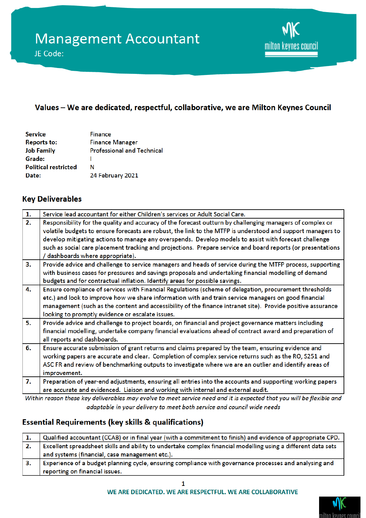

## Values - We are dedicated, respectful, collaborative, we are Milton Keynes Council

| <b>Service</b>              | <b>Finance</b>                    |
|-----------------------------|-----------------------------------|
| <b>Reports to:</b>          | <b>Finance Manager</b>            |
| <b>Job Family</b>           | <b>Professional and Technical</b> |
| Grade:                      |                                   |
| <b>Political restricted</b> | N                                 |
| Date:                       | 24 February 2021                  |

### **Key Deliverables**

| 1. | Service lead accountant for either Children's services or Adult Social Care.                                |
|----|-------------------------------------------------------------------------------------------------------------|
| 2. | Responsibility for the quality and accuracy of the forecast outturn by challenging managers of complex or   |
|    | volatile budgets to ensure forecasts are robust, the link to the MTFP is understood and support managers to |
|    | develop mitigating actions to manage any overspends. Develop models to assist with forecast challenge       |
|    | such as social care placement tracking and projections. Prepare service and board reports (or presentations |
|    | dashboards where appropriate).                                                                              |
| 3. | Provide advice and challenge to service managers and heads of service during the MTFP process, supporting   |
|    | with business cases for pressures and savings proposals and undertaking financial modelling of demand       |
|    | budgets and for contractual inflation. Identify areas for possible savings.                                 |
| 4. | Ensure compliance of services with Financial Regulations (scheme of delegation, procurement thresholds      |
|    | etc.) and look to improve how we share information with and train service managers on good financial        |
|    | management (such as the content and accessibility of the finance intranet site). Provide positive assurance |
|    | looking to promptly evidence or escalate issues.                                                            |
| 5. | Provide advice and challenge to project boards, on financial and project governance matters including       |
|    | financial modelling, undertake company financial evaluations ahead of contract award and preparation of     |
|    | all reports and dashboards.                                                                                 |
| 6. | Ensure accurate submission of grant returns and claims prepared by the team, ensuring evidence and          |
|    | working papers are accurate and clear. Completion of complex service returns such as the RO, S251 and       |
|    | ASC FR and review of benchmarking outputs to investigate where we are an outlier and identify areas of      |
|    | improvement.                                                                                                |
| 7. | Preparation of year-end adjustments, ensuring all entries into the accounts and supporting working papers   |
|    | are accurate and evidenced. Liaison and working with internal and external audit.                           |

Within reason these key deliverables may evolve to meet service need and it is expected that you will be flexible and adaptable in your delivery to meet both service and council wide needs

# **Essential Requirements (key skills & qualifications)**

|    | Qualified accountant (CCAB) or in final year (with a commitment to finish) and evidence of appropriate CPD.   |
|----|---------------------------------------------------------------------------------------------------------------|
| 2. | Excellent spreadsheet skills and ability to undertake complex financial modelling using a different data sets |
|    | and systems (financial, case management etc.).                                                                |
|    | Experience of a budget planning cycle, ensuring compliance with governance processes and analysing and        |
|    | reporting on financial issues.                                                                                |

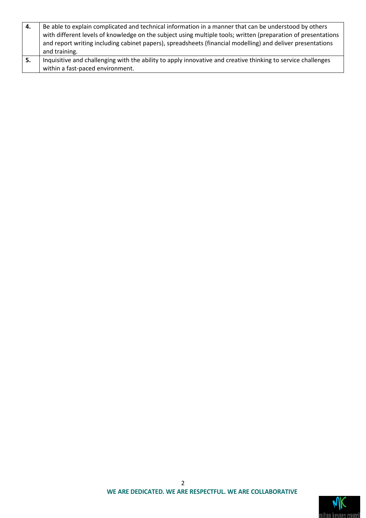| 4.  | Be able to explain complicated and technical information in a manner that can be understood by others         |
|-----|---------------------------------------------------------------------------------------------------------------|
|     | with different levels of knowledge on the subject using multiple tools; written (preparation of presentations |
|     | and report writing including cabinet papers), spreadsheets (financial modelling) and deliver presentations    |
|     | and training.                                                                                                 |
| -5. | Inquisitive and challenging with the ability to apply innovative and creative thinking to service challenges  |
|     | within a fast-paced environment.                                                                              |

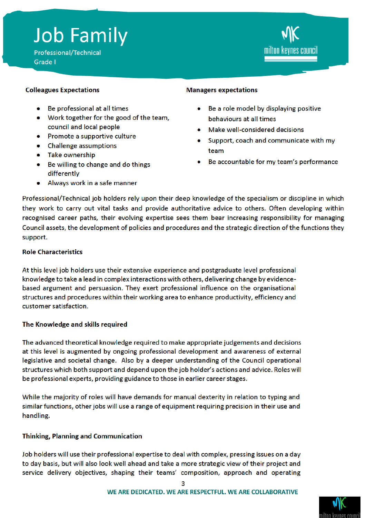# **Job Family**

Professional/Technical Grade I



#### **Colleagues Expectations**

- Be professional at all times
- Work together for the good of the team, council and local people
- Promote a supportive culture
- Challenge assumptions
- Take ownership
- Be willing to change and do things differently
- Always work in a safe manner

#### **Managers expectations**

- Be a role model by displaying positive behaviours at all times
- Make well-considered decisions
- Support, coach and communicate with my team
- Be accountable for my team's performance

Professional/Technical job holders rely upon their deep knowledge of the specialism or discipline in which they work to carry out vital tasks and provide authoritative advice to others. Often developing within recognised career paths, their evolving expertise sees them bear increasing responsibility for managing Council assets, the development of policies and procedures and the strategic direction of the functions they support.

#### **Role Characteristics**

At this level job holders use their extensive experience and postgraduate level professional knowledge to take a lead in complex interactions with others, delivering change by evidencebased argument and persuasion. They exert professional influence on the organisational structures and procedures within their working area to enhance productivity, efficiency and customer satisfaction.

#### The Knowledge and skills required

The advanced theoretical knowledge required to make appropriate judgements and decisions at this level is augmented by ongoing professional development and awareness of external legislative and societal change. Also by a deeper understanding of the Council operational structures which both support and depend upon the job holder's actions and advice. Roles will be professional experts, providing guidance to those in earlier career stages.

While the majority of roles will have demands for manual dexterity in relation to typing and similar functions, other jobs will use a range of equipment requiring precision in their use and handling.

#### **Thinking, Planning and Communication**

Job holders will use their professional expertise to deal with complex, pressing issues on a day to day basis, but will also look well ahead and take a more strategic view of their project and service delivery objectives, shaping their teams' composition, approach and operating

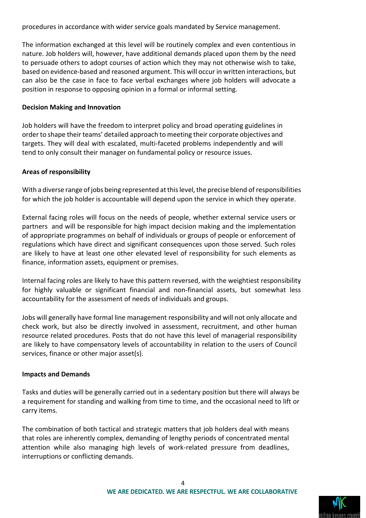procedures in accordance with wider service goals mandated by Service management.

The information exchanged at this level will be routinely complex and even contentious in nature. Job holders will, however, have additional demands placed upon them by the need to persuade others to adopt courses of action which they may not otherwise wish to take, based on evidence-based and reasoned argument. This will occur in written interactions, but can also be the case in face to face verbal exchanges where job holders will advocate a position in response to opposing opinion in a formal or informal setting.

#### **Decision Making and Innovation**

Job holders will have the freedom to interpret policy and broad operating guidelines in order to shape their teams' detailed approach to meeting their corporate objectives and targets. They will deal with escalated, multi-faceted problems independently and will tend to only consult their manager on fundamental policy or resource issues.

#### **Areas of responsibility**

With a diverse range of jobs being represented at this level, the precise blend of responsibilities for which the job holder is accountable will depend upon the service in which they operate.

External facing roles will focus on the needs of people, whether external service users or partners and will be responsible for high impact decision making and the implementation of appropriate programmes on behalf of individuals or groups of people or enforcement of regulations which have direct and significant consequences upon those served. Such roles are likely to have at least one other elevated level of responsibility for such elements as finance, information assets, equipment or premises.

Internal facing roles are likely to have this pattern reversed, with the weightiest responsibility for highly valuable or significant financial and non-financial assets, but somewhat less accountability for the assessment of needs of individuals and groups.

Jobs will generally have formal line management responsibility and will not only allocate and check work, but also be directly involved in assessment, recruitment, and other human resource related procedures. Posts that do not have this level of managerial responsibility are likely to have compensatory levels of accountability in relation to the users of Council services, finance or other major asset(s).

#### **Impacts and Demands**

Tasks and duties will be generally carried out in a sedentary position but there will always be a requirement for standing and walking from time to time, and the occasional need to lift or carry items.

The combination of both tactical and strategic matters that job holders deal with means that roles are inherently complex, demanding of lengthy periods of concentrated mental attention while also managing high levels of work-related pressure from deadlines, interruptions or conflicting demands.